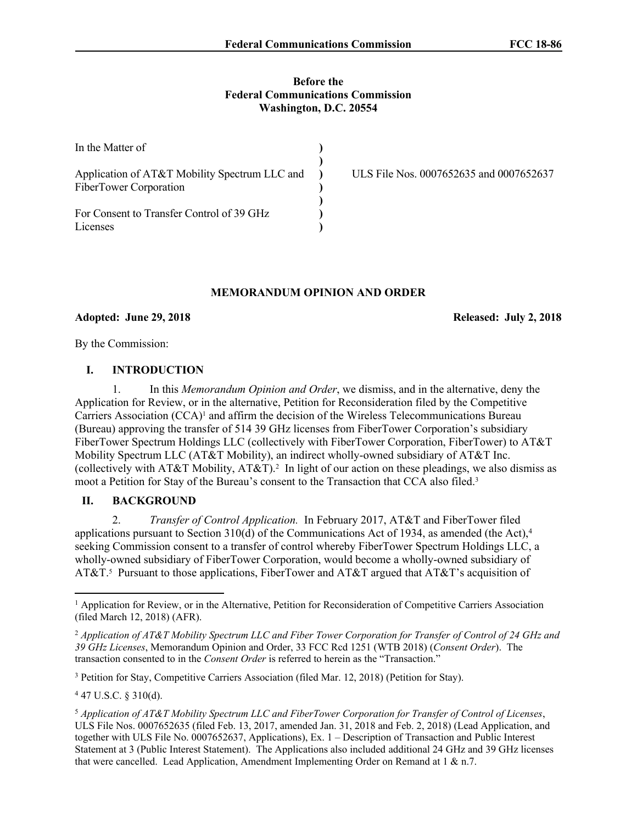#### **Before the Federal Communications Commission Washington, D.C. 20554**

| In the Matter of                                                        |                                         |
|-------------------------------------------------------------------------|-----------------------------------------|
| Application of AT&T Mobility Spectrum LLC and<br>FiberTower Corporation | ULS File Nos. 0007652635 and 0007652637 |
| For Consent to Transfer Control of 39 GHz<br>Licenses                   |                                         |

# **MEMORANDUM OPINION AND ORDER**

## **Adopted: June 29, 2018 Released: July 2, 2018**

By the Commission:

# **I. INTRODUCTION**

1. In this *Memorandum Opinion and Order*, we dismiss, and in the alternative, deny the Application for Review, or in the alternative, Petition for Reconsideration filed by the Competitive Carriers Association  $(CCA)^1$  and affirm the decision of the Wireless Telecommunications Bureau (Bureau) approving the transfer of 514 39 GHz licenses from FiberTower Corporation's subsidiary FiberTower Spectrum Holdings LLC (collectively with FiberTower Corporation, FiberTower) to AT&T Mobility Spectrum LLC (AT&T Mobility), an indirect wholly-owned subsidiary of AT&T Inc. (collectively with AT&T Mobility, AT&T).<sup>2</sup> In light of our action on these pleadings, we also dismiss as moot a Petition for Stay of the Bureau's consent to the Transaction that CCA also filed.<sup>3</sup>

## **II. BACKGROUND**

2. *Transfer of Control Application.* In February 2017, AT&T and FiberTower filed applications pursuant to Section 310(d) of the Communications Act of 1934, as amended (the Act), $4$ seeking Commission consent to a transfer of control whereby FiberTower Spectrum Holdings LLC, a wholly-owned subsidiary of FiberTower Corporation, would become a wholly-owned subsidiary of AT&T.<sup>5</sup> Pursuant to those applications, FiberTower and AT&T argued that AT&T's acquisition of

<sup>3</sup> Petition for Stay, Competitive Carriers Association (filed Mar. 12, 2018) (Petition for Stay).

<sup>4</sup> 47 U.S.C. § 310(d).

<sup>1</sup> Application for Review, or in the Alternative, Petition for Reconsideration of Competitive Carriers Association (filed March 12, 2018) (AFR).

<sup>&</sup>lt;sup>2</sup> Application of AT&T Mobility Spectrum LLC and Fiber Tower Corporation for Transfer of Control of 24 GHz and *39 GHz Licenses*, Memorandum Opinion and Order, 33 FCC Rcd 1251 (WTB 2018) (*Consent Order*). The transaction consented to in the *Consent Order* is referred to herein as the "Transaction."

<sup>5</sup> *Application of AT&T Mobility Spectrum LLC and FiberTower Corporation for Transfer of Control of Licenses*, ULS File Nos. 0007652635 (filed Feb. 13, 2017, amended Jan. 31, 2018 and Feb. 2, 2018) (Lead Application, and together with ULS File No. 0007652637, Applications), Ex. 1 – Description of Transaction and Public Interest Statement at 3 (Public Interest Statement). The Applications also included additional 24 GHz and 39 GHz licenses that were cancelled. Lead Application, Amendment Implementing Order on Remand at 1 & n.7.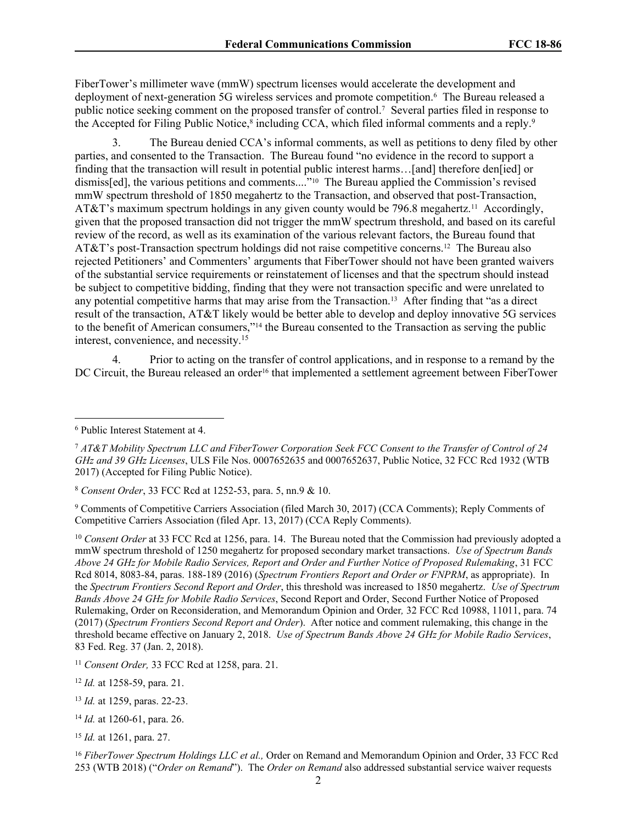FiberTower's millimeter wave (mmW) spectrum licenses would accelerate the development and deployment of next-generation 5G wireless services and promote competition.<sup>6</sup> The Bureau released a public notice seeking comment on the proposed transfer of control.<sup>7</sup> Several parties filed in response to the Accepted for Filing Public Notice,<sup>8</sup> including CCA, which filed informal comments and a reply.<sup>9</sup>

3. The Bureau denied CCA's informal comments, as well as petitions to deny filed by other parties, and consented to the Transaction. The Bureau found "no evidence in the record to support a finding that the transaction will result in potential public interest harms…[and] therefore den[ied] or dismiss[ed], the various petitions and comments...."<sup>10</sup> The Bureau applied the Commission's revised mmW spectrum threshold of 1850 megahertz to the Transaction, and observed that post-Transaction, AT&T's maximum spectrum holdings in any given county would be 796.8 megahertz.<sup>11</sup> Accordingly, given that the proposed transaction did not trigger the mmW spectrum threshold, and based on its careful review of the record, as well as its examination of the various relevant factors, the Bureau found that AT&T's post-Transaction spectrum holdings did not raise competitive concerns.<sup>12</sup> The Bureau also rejected Petitioners' and Commenters' arguments that FiberTower should not have been granted waivers of the substantial service requirements or reinstatement of licenses and that the spectrum should instead be subject to competitive bidding, finding that they were not transaction specific and were unrelated to any potential competitive harms that may arise from the Transaction.<sup>13</sup> After finding that "as a direct result of the transaction, AT&T likely would be better able to develop and deploy innovative 5G services to the benefit of American consumers,"<sup>14</sup> the Bureau consented to the Transaction as serving the public interest, convenience, and necessity.<sup>15</sup>

4. Prior to acting on the transfer of control applications, and in response to a remand by the DC Circuit, the Bureau released an order<sup>16</sup> that implemented a settlement agreement between FiberTower

<sup>8</sup> *Consent Order*, 33 FCC Rcd at 1252-53, para. 5, nn.9 & 10.

<sup>9</sup> Comments of Competitive Carriers Association (filed March 30, 2017) (CCA Comments); Reply Comments of Competitive Carriers Association (filed Apr. 13, 2017) (CCA Reply Comments).

<sup>10</sup> *Consent Order* at 33 FCC Rcd at 1256, para. 14. The Bureau noted that the Commission had previously adopted a mmW spectrum threshold of 1250 megahertz for proposed secondary market transactions. *Use of Spectrum Bands Above 24 GHz for Mobile Radio Services, Report and Order and Further Notice of Proposed Rulemaking*, 31 FCC Rcd 8014, 8083-84, paras. 188-189 (2016) (*Spectrum Frontiers Report and Order or FNPRM*, as appropriate). In the *Spectrum Frontiers Second Report and Order*, this threshold was increased to 1850 megahertz. *Use of Spectrum Bands Above 24 GHz for Mobile Radio Services*, Second Report and Order, Second Further Notice of Proposed Rulemaking, Order on Reconsideration, and Memorandum Opinion and Order*,* 32 FCC Rcd 10988, 11011, para. 74 (2017) (*Spectrum Frontiers Second Report and Order*). After notice and comment rulemaking, this change in the threshold became effective on January 2, 2018. *Use of Spectrum Bands Above 24 GHz for Mobile Radio Services*, 83 Fed. Reg. 37 (Jan. 2, 2018).

<sup>6</sup> Public Interest Statement at 4.

<sup>7</sup> *AT&T Mobility Spectrum LLC and FiberTower Corporation Seek FCC Consent to the Transfer of Control of 24 GHz and 39 GHz Licenses*, ULS File Nos. 0007652635 and 0007652637, Public Notice, 32 FCC Rcd 1932 (WTB 2017) (Accepted for Filing Public Notice).

<sup>11</sup> *Consent Order,* 33 FCC Rcd at 1258, para. 21.

<sup>12</sup> *Id.* at 1258-59, para. 21.

<sup>13</sup> *Id.* at 1259, paras. 22-23.

<sup>14</sup> *Id.* at 1260-61, para. 26.

<sup>15</sup> *Id.* at 1261, para. 27.

<sup>16</sup> *FiberTower Spectrum Holdings LLC et al.,* Order on Remand and Memorandum Opinion and Order, 33 FCC Rcd 253 (WTB 2018) ("*Order on Remand*"). The *Order on Remand* also addressed substantial service waiver requests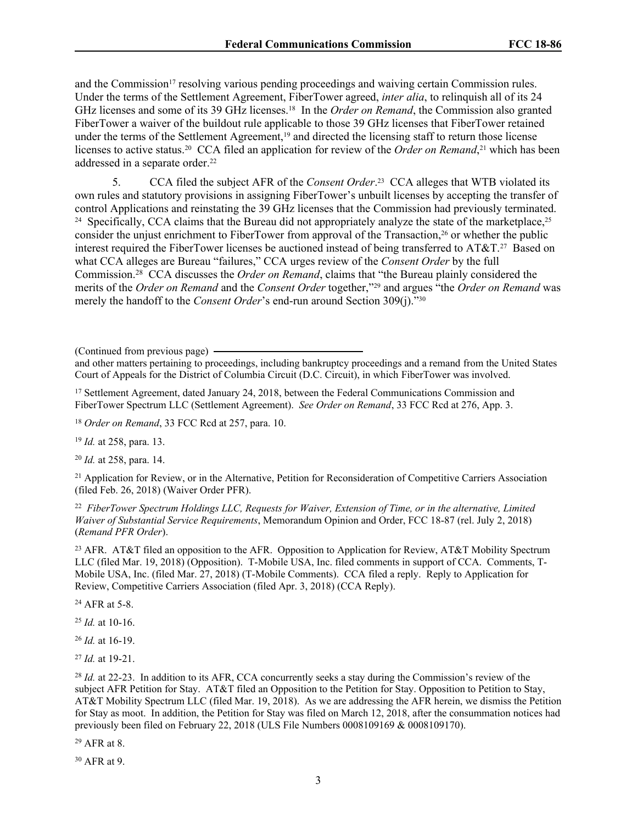and the Commission<sup>17</sup> resolving various pending proceedings and waiving certain Commission rules. Under the terms of the Settlement Agreement, FiberTower agreed, *inter alia*, to relinquish all of its 24 GHz licenses and some of its 39 GHz licenses.<sup>18</sup> In the *Order on Remand*, the Commission also granted FiberTower a waiver of the buildout rule applicable to those 39 GHz licenses that FiberTower retained under the terms of the Settlement Agreement,<sup>19</sup> and directed the licensing staff to return those license licenses to active status.<sup>20</sup> CCA filed an application for review of the *Order on Remand*,<sup>21</sup> which has been addressed in a separate order.<sup>22</sup>

5. CCA filed the subject AFR of the *Consent Order*. 23 CCA alleges that WTB violated its own rules and statutory provisions in assigning FiberTower's unbuilt licenses by accepting the transfer of control Applications and reinstating the 39 GHz licenses that the Commission had previously terminated. <sup>24</sup> Specifically, CCA claims that the Bureau did not appropriately analyze the state of the marketplace,<sup>25</sup> consider the unjust enrichment to FiberTower from approval of the Transaction,<sup>26</sup> or whether the public interest required the FiberTower licenses be auctioned instead of being transferred to AT&T.<sup>27</sup> Based on what CCA alleges are Bureau "failures," CCA urges review of the *Consent Order* by the full Commission.<sup>28</sup> CCA discusses the *Order on Remand*, claims that "the Bureau plainly considered the merits of the *Order on Remand* and the *Consent Order* together,"<sup>29</sup> and argues "the *Order on Remand* was merely the handoff to the *Consent Order*'s end-run around Section 309(j)."<sup>30</sup>

(Continued from previous page)

and other matters pertaining to proceedings, including bankruptcy proceedings and a remand from the United States Court of Appeals for the District of Columbia Circuit (D.C. Circuit), in which FiberTower was involved.

<sup>17</sup> Settlement Agreement, dated January 24, 2018, between the Federal Communications Commission and FiberTower Spectrum LLC (Settlement Agreement). *See Order on Remand*, 33 FCC Rcd at 276, App. 3.

<sup>18</sup> *Order on Remand*, 33 FCC Rcd at 257, para. 10.

<sup>19</sup> *Id.* at 258, para. 13.

<sup>20</sup> *Id.* at 258, para. 14.

<sup>21</sup> Application for Review, or in the Alternative, Petition for Reconsideration of Competitive Carriers Association (filed Feb. 26, 2018) (Waiver Order PFR).

22 *FiberTower Spectrum Holdings LLC, Requests for Waiver, Extension of Time, or in the alternative, Limited Waiver of Substantial Service Requirements*, Memorandum Opinion and Order, FCC 18-87 (rel. July 2, 2018) (*Remand PFR Order*).

<sup>23</sup> AFR. AT&T filed an opposition to the AFR. Opposition to Application for Review, AT&T Mobility Spectrum LLC (filed Mar. 19, 2018) (Opposition). T-Mobile USA, Inc. filed comments in support of CCA. Comments, T-Mobile USA, Inc. (filed Mar. 27, 2018) (T-Mobile Comments). CCA filed a reply. Reply to Application for Review, Competitive Carriers Association (filed Apr. 3, 2018) (CCA Reply).

<sup>24</sup> AFR at 5-8.

<sup>25</sup> *Id.* at 10-16.

<sup>26</sup> *Id.* at 16-19.

<sup>27</sup> *Id.* at 19-21.

<sup>28</sup> *Id.* at 22-23. In addition to its AFR, CCA concurrently seeks a stay during the Commission's review of the subject AFR Petition for Stay. AT&T filed an Opposition to the Petition for Stay. Opposition to Petition to Stay, AT&T Mobility Spectrum LLC (filed Mar. 19, 2018). As we are addressing the AFR herein, we dismiss the Petition for Stay as moot. In addition, the Petition for Stay was filed on March 12, 2018, after the consummation notices had previously been filed on February 22, 2018 (ULS File Numbers 0008109169 & 0008109170).

<sup>29</sup> AFR at 8.

<sup>30</sup> AFR at 9.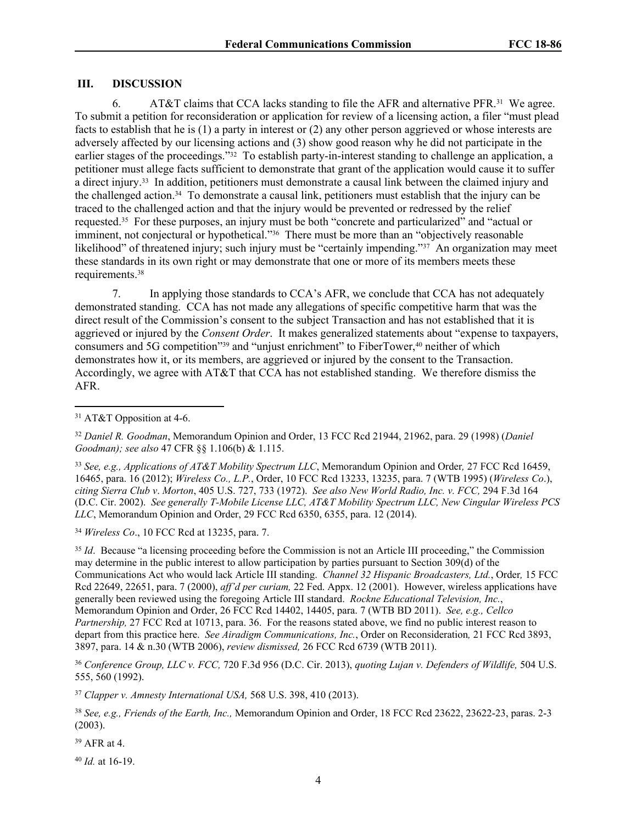#### **III. DISCUSSION**

6. AT&T claims that CCA lacks standing to file the AFR and alternative PFR.<sup>31</sup> We agree. To submit a petition for reconsideration or application for review of a licensing action, a filer "must plead facts to establish that he is (1) a party in interest or (2) any other person aggrieved or whose interests are adversely affected by our licensing actions and (3) show good reason why he did not participate in the earlier stages of the proceedings."<sup>32</sup> To establish party-in-interest standing to challenge an application, a petitioner must allege facts sufficient to demonstrate that grant of the application would cause it to suffer a direct injury.<sup>33</sup> In addition, petitioners must demonstrate a causal link between the claimed injury and the challenged action.<sup>34</sup> To demonstrate a causal link, petitioners must establish that the injury can be traced to the challenged action and that the injury would be prevented or redressed by the relief requested.<sup>35</sup> For these purposes, an injury must be both "concrete and particularized" and "actual or imminent, not conjectural or hypothetical."<sup>36</sup> There must be more than an "objectively reasonable likelihood" of threatened injury; such injury must be "certainly impending."<sup>37</sup> An organization may meet these standards in its own right or may demonstrate that one or more of its members meets these requirements.<sup>38</sup>

7. In applying those standards to CCA's AFR, we conclude that CCA has not adequately demonstrated standing. CCA has not made any allegations of specific competitive harm that was the direct result of the Commission's consent to the subject Transaction and has not established that it is aggrieved or injured by the *Consent Order*. It makes generalized statements about "expense to taxpayers, consumers and 5G competition"<sup>39</sup> and "unjust enrichment" to FiberTower,<sup>40</sup> neither of which demonstrates how it, or its members, are aggrieved or injured by the consent to the Transaction. Accordingly, we agree with AT&T that CCA has not established standing. We therefore dismiss the AFR.

<sup>34</sup> *Wireless Co*., 10 FCC Rcd at 13235, para. 7.

<sup>35</sup> *Id.* Because "a licensing proceeding before the Commission is not an Article III proceeding," the Commission may determine in the public interest to allow participation by parties pursuant to Section 309(d) of the Communications Act who would lack Article III standing. *Channel 32 Hispanic Broadcasters, Ltd.*, Order*,* 15 FCC Rcd 22649, 22651, para. 7 (2000), *aff'd per curiam,* 22 Fed. Appx. 12 (2001). However, wireless applications have generally been reviewed using the foregoing Article III standard. *Rockne Educational Television, Inc.*, Memorandum Opinion and Order, 26 FCC Rcd 14402, 14405, para. 7 (WTB BD 2011). *See, e.g., Cellco Partnership,* 27 FCC Rcd at 10713, para. 36. For the reasons stated above, we find no public interest reason to depart from this practice here. *See Airadigm Communications, Inc.*, Order on Reconsideration*,* 21 FCC Rcd 3893, 3897, para. 14 & n.30 (WTB 2006), *review dismissed,* 26 FCC Rcd 6739 (WTB 2011).

<sup>36</sup> *Conference Group, LLC v. FCC,* 720 F.3d 956 (D.C. Cir. 2013), *quoting Lujan v. Defenders of Wildlife,* 504 U.S. 555, 560 (1992).

<sup>37</sup> *Clapper v. Amnesty International USA,* 568 U.S. 398, 410 (2013).

<sup>38</sup> *See, e.g., Friends of the Earth, Inc.,* Memorandum Opinion and Order, 18 FCC Rcd 23622, 23622-23, paras. 2-3 (2003).

<sup>39</sup> AFR at 4.

<sup>40</sup> *Id.* at 16-19.

<sup>31</sup> AT&T Opposition at 4-6.

<sup>32</sup> *Daniel R. Goodman*, Memorandum Opinion and Order, 13 FCC Rcd 21944, 21962, para. 29 (1998) (*Daniel Goodman); see also* 47 CFR §§ 1.106(b) & 1.115.

<sup>33</sup> *See, e.g., Applications of AT&T Mobility Spectrum LLC*, Memorandum Opinion and Order*,* 27 FCC Rcd 16459, 16465, para. 16 (2012); *Wireless Co., L.P.*, Order, 10 FCC Rcd 13233, 13235, para. 7 (WTB 1995) (*Wireless Co*.), *citing Sierra Club v*. *Morton*, 405 U.S. 727, 733 (1972). *See also New World Radio, Inc. v. FCC,* 294 F.3d 164 (D.C. Cir. 2002). *See generally T-Mobile License LLC, AT&T Mobility Spectrum LLC, New Cingular Wireless PCS LLC*, Memorandum Opinion and Order, 29 FCC Rcd 6350, 6355, para. 12 (2014).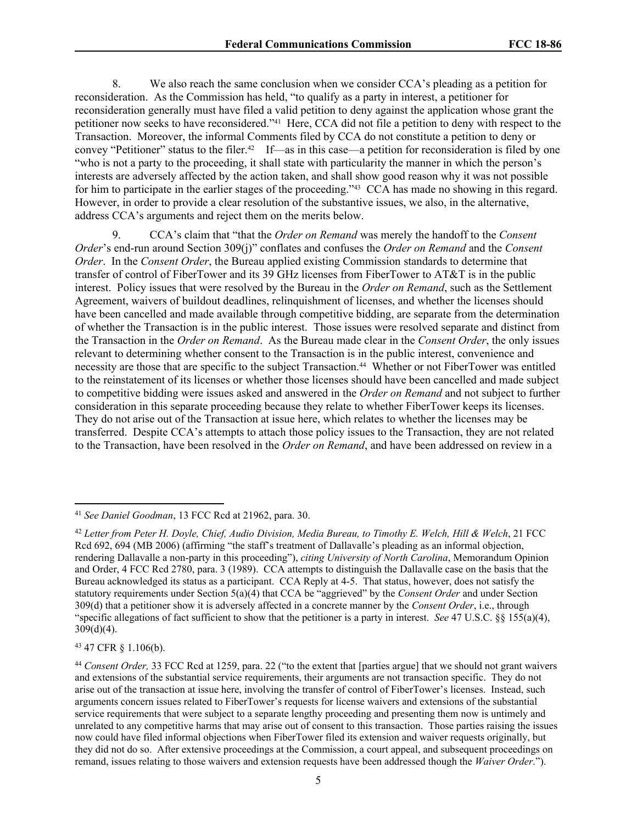8. We also reach the same conclusion when we consider CCA's pleading as a petition for reconsideration. As the Commission has held, "to qualify as a party in interest, a petitioner for reconsideration generally must have filed a valid petition to deny against the application whose grant the petitioner now seeks to have reconsidered."<sup>41</sup> Here, CCA did not file a petition to deny with respect to the Transaction. Moreover, the informal Comments filed by CCA do not constitute a petition to deny or convey "Petitioner" status to the filer.<sup>42</sup> If—as in this case—a petition for reconsideration is filed by one "who is not a party to the proceeding, it shall state with particularity the manner in which the person's interests are adversely affected by the action taken, and shall show good reason why it was not possible for him to participate in the earlier stages of the proceeding."<sup>43</sup> CCA has made no showing in this regard. However, in order to provide a clear resolution of the substantive issues, we also, in the alternative, address CCA's arguments and reject them on the merits below.

9. CCA's claim that "that the *Order on Remand* was merely the handoff to the *Consent Order*'s end-run around Section 309(j)" conflates and confuses the *Order on Remand* and the *Consent Order*. In the *Consent Order*, the Bureau applied existing Commission standards to determine that transfer of control of FiberTower and its 39 GHz licenses from FiberTower to AT&T is in the public interest. Policy issues that were resolved by the Bureau in the *Order on Remand*, such as the Settlement Agreement, waivers of buildout deadlines, relinquishment of licenses, and whether the licenses should have been cancelled and made available through competitive bidding, are separate from the determination of whether the Transaction is in the public interest. Those issues were resolved separate and distinct from the Transaction in the *Order on Remand*. As the Bureau made clear in the *Consent Order*, the only issues relevant to determining whether consent to the Transaction is in the public interest, convenience and necessity are those that are specific to the subject Transaction.<sup>44</sup> Whether or not FiberTower was entitled to the reinstatement of its licenses or whether those licenses should have been cancelled and made subject to competitive bidding were issues asked and answered in the *Order on Remand* and not subject to further consideration in this separate proceeding because they relate to whether FiberTower keeps its licenses. They do not arise out of the Transaction at issue here, which relates to whether the licenses may be transferred. Despite CCA's attempts to attach those policy issues to the Transaction, they are not related to the Transaction, have been resolved in the *Order on Remand*, and have been addressed on review in a

<sup>43</sup> 47 CFR § 1.106(b).

<sup>41</sup> *See Daniel Goodman*, 13 FCC Rcd at 21962, para. 30.

<sup>&</sup>lt;sup>42</sup> Letter from Peter H. Dovle, Chief, Audio Division, Media Bureau, to Timothy E. Welch, Hill & Welch, 21 FCC Rcd 692, 694 (MB 2006) (affirming "the staff's treatment of Dallavalle's pleading as an informal objection, rendering Dallavalle a non-party in this proceeding"), *citing University of North Carolina*, Memorandum Opinion and Order, 4 FCC Rcd 2780, para. 3 (1989). CCA attempts to distinguish the Dallavalle case on the basis that the Bureau acknowledged its status as a participant. CCA Reply at 4-5. That status, however, does not satisfy the statutory requirements under Section 5(a)(4) that CCA be "aggrieved" by the *Consent Order* and under Section 309(d) that a petitioner show it is adversely affected in a concrete manner by the *Consent Order*, i.e., through "specific allegations of fact sufficient to show that the petitioner is a party in interest. *See* 47 U.S.C. §§ 155(a)(4),  $309(d)(4)$ .

<sup>44</sup> *Consent Order,* 33 FCC Rcd at 1259, para. 22 ("to the extent that [parties argue] that we should not grant waivers and extensions of the substantial service requirements, their arguments are not transaction specific. They do not arise out of the transaction at issue here, involving the transfer of control of FiberTower's licenses. Instead, such arguments concern issues related to FiberTower's requests for license waivers and extensions of the substantial service requirements that were subject to a separate lengthy proceeding and presenting them now is untimely and unrelated to any competitive harms that may arise out of consent to this transaction. Those parties raising the issues now could have filed informal objections when FiberTower filed its extension and waiver requests originally, but they did not do so. After extensive proceedings at the Commission, a court appeal, and subsequent proceedings on remand, issues relating to those waivers and extension requests have been addressed though the *Waiver Order*.").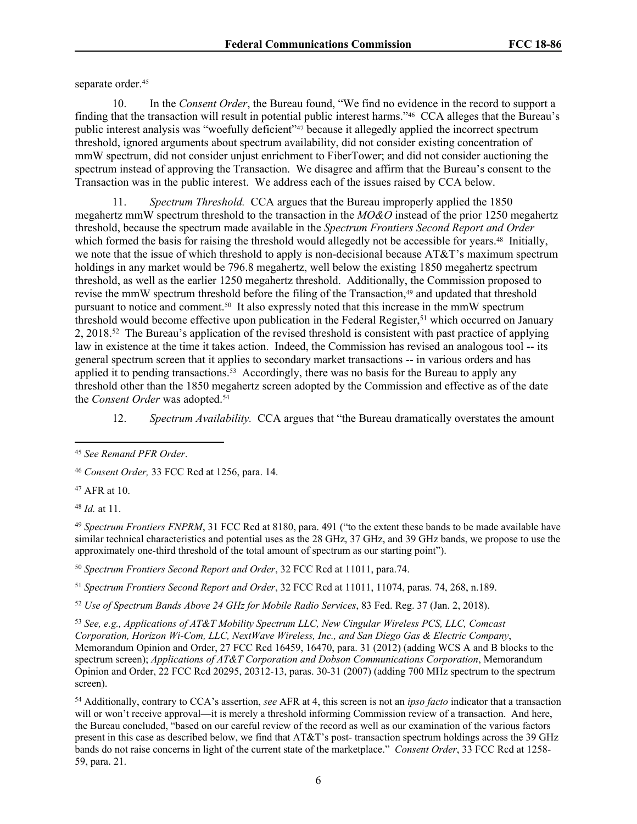separate order.<sup>45</sup>

10. In the *Consent Order*, the Bureau found, "We find no evidence in the record to support a finding that the transaction will result in potential public interest harms."46 CCA alleges that the Bureau's public interest analysis was "woefully deficient"<sup>47</sup> because it allegedly applied the incorrect spectrum threshold, ignored arguments about spectrum availability, did not consider existing concentration of mmW spectrum, did not consider unjust enrichment to FiberTower; and did not consider auctioning the spectrum instead of approving the Transaction. We disagree and affirm that the Bureau's consent to the Transaction was in the public interest. We address each of the issues raised by CCA below.

11. *Spectrum Threshold.* CCA argues that the Bureau improperly applied the 1850 megahertz mmW spectrum threshold to the transaction in the *MO&O* instead of the prior 1250 megahertz threshold, because the spectrum made available in the *Spectrum Frontiers Second Report and Order* which formed the basis for raising the threshold would allegedly not be accessible for years.<sup>48</sup> Initially, we note that the issue of which threshold to apply is non-decisional because AT&T's maximum spectrum holdings in any market would be 796.8 megahertz, well below the existing 1850 megahertz spectrum threshold, as well as the earlier 1250 megahertz threshold. Additionally, the Commission proposed to revise the mmW spectrum threshold before the filing of the Transaction,<sup>49</sup> and updated that threshold pursuant to notice and comment.<sup>50</sup> It also expressly noted that this increase in the mmW spectrum threshold would become effective upon publication in the Federal Register,<sup>51</sup> which occurred on January 2, 2018.<sup>52</sup> The Bureau's application of the revised threshold is consistent with past practice of applying law in existence at the time it takes action. Indeed, the Commission has revised an analogous tool -- its general spectrum screen that it applies to secondary market transactions -- in various orders and has applied it to pending transactions.<sup>53</sup> Accordingly, there was no basis for the Bureau to apply any threshold other than the 1850 megahertz screen adopted by the Commission and effective as of the date the *Consent Order* was adopted.<sup>54</sup>

12. *Spectrum Availability.* CCA argues that "the Bureau dramatically overstates the amount

<sup>47</sup> AFR at 10.

<sup>48</sup> *Id.* at 11.

<sup>49</sup> *Spectrum Frontiers FNPRM*, 31 FCC Rcd at 8180, para. 491 ("to the extent these bands to be made available have similar technical characteristics and potential uses as the 28 GHz, 37 GHz, and 39 GHz bands, we propose to use the approximately one-third threshold of the total amount of spectrum as our starting point").

<sup>50</sup> *Spectrum Frontiers Second Report and Order*, 32 FCC Rcd at 11011, para.74.

<sup>51</sup> *Spectrum Frontiers Second Report and Order*, 32 FCC Rcd at 11011, 11074, paras. 74, 268, n.189.

<sup>52</sup> *Use of Spectrum Bands Above 24 GHz for Mobile Radio Services*, 83 Fed. Reg. 37 (Jan. 2, 2018).

<sup>53</sup> *See, e.g., Applications of AT&T Mobility Spectrum LLC, New Cingular Wireless PCS, LLC, Comcast Corporation, Horizon Wi-Com, LLC, NextWave Wireless, Inc., and San Diego Gas & Electric Company*, Memorandum Opinion and Order, 27 FCC Rcd 16459, 16470, para. 31 (2012) (adding WCS A and B blocks to the spectrum screen); *Applications of AT&T Corporation and Dobson Communications Corporation*, Memorandum Opinion and Order, 22 FCC Rcd 20295, 20312-13, paras. 30-31 (2007) (adding 700 MHz spectrum to the spectrum screen).

<sup>54</sup> Additionally, contrary to CCA's assertion, *see* AFR at 4, this screen is not an *ipso facto* indicator that a transaction will or won't receive approval—it is merely a threshold informing Commission review of a transaction. And here, the Bureau concluded, "based on our careful review of the record as well as our examination of the various factors present in this case as described below, we find that AT&T's post- transaction spectrum holdings across the 39 GHz bands do not raise concerns in light of the current state of the marketplace." *Consent Order*, 33 FCC Rcd at 1258- 59, para. 21.

<sup>45</sup> *See Remand PFR Order*.

<sup>46</sup> *Consent Order,* 33 FCC Rcd at 1256, para. 14.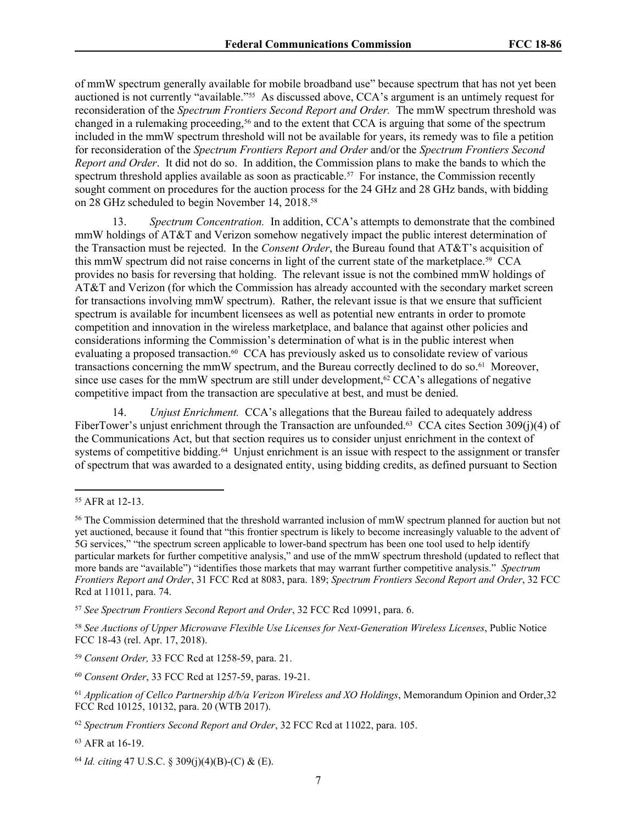of mmW spectrum generally available for mobile broadband use" because spectrum that has not yet been auctioned is not currently "available."<sup>55</sup> As discussed above, CCA's argument is an untimely request for reconsideration of the *Spectrum Frontiers Second Report and Order.* The mmW spectrum threshold was changed in a rulemaking proceeding,<sup>56</sup> and to the extent that CCA is arguing that some of the spectrum included in the mmW spectrum threshold will not be available for years, its remedy was to file a petition for reconsideration of the *Spectrum Frontiers Report and Order* and/or the *Spectrum Frontiers Second Report and Order*. It did not do so. In addition, the Commission plans to make the bands to which the spectrum threshold applies available as soon as practicable.<sup>57</sup> For instance, the Commission recently sought comment on procedures for the auction process for the 24 GHz and 28 GHz bands, with bidding on 28 GHz scheduled to begin November 14, 2018.<sup>58</sup>

13. *Spectrum Concentration.* In addition, CCA's attempts to demonstrate that the combined mmW holdings of AT&T and Verizon somehow negatively impact the public interest determination of the Transaction must be rejected. In the *Consent Order*, the Bureau found that AT&T's acquisition of this mmW spectrum did not raise concerns in light of the current state of the marketplace.<sup>59</sup> CCA provides no basis for reversing that holding. The relevant issue is not the combined mmW holdings of AT&T and Verizon (for which the Commission has already accounted with the secondary market screen for transactions involving mmW spectrum). Rather, the relevant issue is that we ensure that sufficient spectrum is available for incumbent licensees as well as potential new entrants in order to promote competition and innovation in the wireless marketplace, and balance that against other policies and considerations informing the Commission's determination of what is in the public interest when evaluating a proposed transaction.<sup>60</sup> CCA has previously asked us to consolidate review of various transactions concerning the mmW spectrum, and the Bureau correctly declined to do so.<sup>61</sup> Moreover, since use cases for the mmW spectrum are still under development,<sup>62</sup> CCA's allegations of negative competitive impact from the transaction are speculative at best, and must be denied.

14. *Unjust Enrichment.* CCA's allegations that the Bureau failed to adequately address FiberTower's unjust enrichment through the Transaction are unfounded.<sup>63</sup> CCA cites Section 309(j)(4) of the Communications Act, but that section requires us to consider unjust enrichment in the context of systems of competitive bidding.<sup>64</sup> Unjust enrichment is an issue with respect to the assignment or transfer of spectrum that was awarded to a designated entity, using bidding credits, as defined pursuant to Section

<sup>55</sup> AFR at 12-13.

<sup>56</sup> The Commission determined that the threshold warranted inclusion of mmW spectrum planned for auction but not yet auctioned, because it found that "this frontier spectrum is likely to become increasingly valuable to the advent of 5G services," "the spectrum screen applicable to lower-band spectrum has been one tool used to help identify particular markets for further competitive analysis," and use of the mmW spectrum threshold (updated to reflect that more bands are "available") "identifies those markets that may warrant further competitive analysis." *Spectrum Frontiers Report and Order*, 31 FCC Rcd at 8083, para. 189; *Spectrum Frontiers Second Report and Order*, 32 FCC Rcd at 11011, para. 74.

<sup>57</sup> *See Spectrum Frontiers Second Report and Order*, 32 FCC Rcd 10991, para. 6.

<sup>58</sup> *See Auctions of Upper Microwave Flexible Use Licenses for Next-Generation Wireless Licenses*, Public Notice FCC 18-43 (rel. Apr. 17, 2018).

<sup>59</sup> *Consent Order,* 33 FCC Rcd at 1258-59, para. 21.

<sup>60</sup> *Consent Order*, 33 FCC Rcd at 1257-59, paras. 19-21.

<sup>61</sup> *Application of Cellco Partnership d/b/a Verizon Wireless and XO Holdings*, Memorandum Opinion and Order,32 FCC Rcd 10125, 10132, para. 20 (WTB 2017).

<sup>62</sup> *Spectrum Frontiers Second Report and Order*, 32 FCC Rcd at 11022, para. 105.

<sup>63</sup> AFR at 16-19.

<sup>64</sup> *Id. citing* 47 U.S.C. § 309(j)(4)(B)-(C) & (E).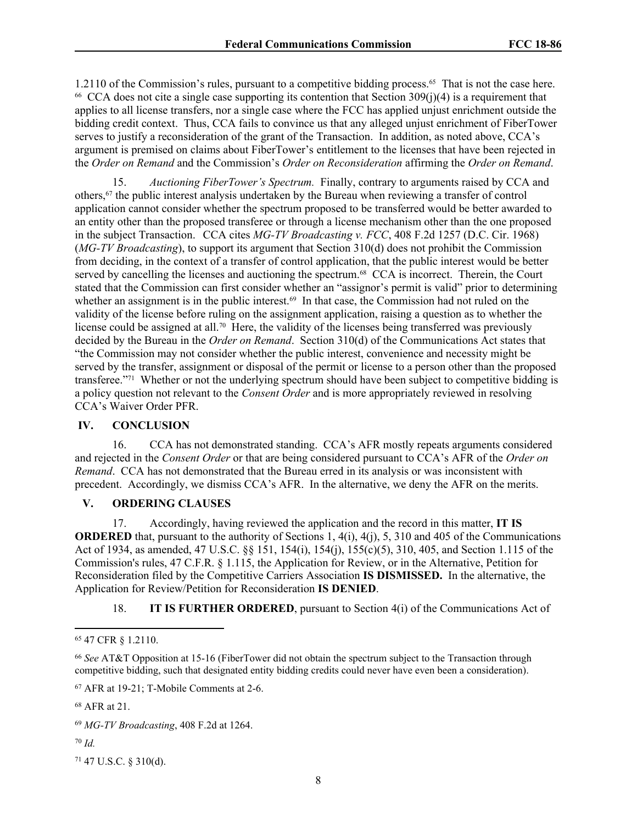1.2110 of the Commission's rules, pursuant to a competitive bidding process.<sup>65</sup> That is not the case here. 66 CCA does not cite a single case supporting its contention that Section 309(j)(4) is a requirement that applies to all license transfers, nor a single case where the FCC has applied unjust enrichment outside the bidding credit context. Thus, CCA fails to convince us that any alleged unjust enrichment of FiberTower serves to justify a reconsideration of the grant of the Transaction. In addition, as noted above, CCA's argument is premised on claims about FiberTower's entitlement to the licenses that have been rejected in the *Order on Remand* and the Commission's *Order on Reconsideration* affirming the *Order on Remand*.

15. *Auctioning FiberTower's Spectrum.* Finally, contrary to arguments raised by CCA and others,<sup>67</sup> the public interest analysis undertaken by the Bureau when reviewing a transfer of control application cannot consider whether the spectrum proposed to be transferred would be better awarded to an entity other than the proposed transferee or through a license mechanism other than the one proposed in the subject Transaction. CCA cites *MG-TV Broadcasting v. FCC*, 408 F.2d 1257 (D.C. Cir. 1968) (*MG-TV Broadcasting*), to support its argument that Section 310(d) does not prohibit the Commission from deciding, in the context of a transfer of control application, that the public interest would be better served by cancelling the licenses and auctioning the spectrum.<sup>68</sup> CCA is incorrect. Therein, the Court stated that the Commission can first consider whether an "assignor's permit is valid" prior to determining whether an assignment is in the public interest.<sup>69</sup> In that case, the Commission had not ruled on the validity of the license before ruling on the assignment application, raising a question as to whether the license could be assigned at all.<sup>70</sup> Here, the validity of the licenses being transferred was previously decided by the Bureau in the *Order on Remand*. Section 310(d) of the Communications Act states that "the Commission may not consider whether the public interest, convenience and necessity might be served by the transfer, assignment or disposal of the permit or license to a person other than the proposed transferee."<sup>71</sup> Whether or not the underlying spectrum should have been subject to competitive bidding is a policy question not relevant to the *Consent Order* and is more appropriately reviewed in resolving CCA's Waiver Order PFR.

#### **IV. CONCLUSION**

16. CCA has not demonstrated standing. CCA's AFR mostly repeats arguments considered and rejected in the *Consent Order* or that are being considered pursuant to CCA's AFR of the *Order on Remand*. CCA has not demonstrated that the Bureau erred in its analysis or was inconsistent with precedent. Accordingly, we dismiss CCA's AFR. In the alternative, we deny the AFR on the merits.

## **V. ORDERING CLAUSES**

17. Accordingly, having reviewed the application and the record in this matter, **IT IS ORDERED** that, pursuant to the authority of Sections 1, 4(i), 4(j), 5, 310 and 405 of the Communications Act of 1934, as amended, 47 U.S.C. §§ 151, 154(i), 154(j), 155(c)(5), 310, 405, and Section 1.115 of the Commission's rules, 47 C.F.R. § 1.115, the Application for Review, or in the Alternative, Petition for Reconsideration filed by the Competitive Carriers Association **IS DISMISSED.** In the alternative, the Application for Review/Petition for Reconsideration **IS DENIED**.

18. **IT IS FURTHER ORDERED**, pursuant to Section 4(i) of the Communications Act of

<sup>70</sup> *Id.*

<sup>71</sup> 47 U.S.C. § 310(d).

<sup>65</sup> 47 CFR § 1.2110.

<sup>66</sup> *See* AT&T Opposition at 15-16 (FiberTower did not obtain the spectrum subject to the Transaction through competitive bidding, such that designated entity bidding credits could never have even been a consideration).

<sup>67</sup> AFR at 19-21; T-Mobile Comments at 2-6.

<sup>68</sup> AFR at 21.

<sup>69</sup> *MG-TV Broadcasting*, 408 F.2d at 1264.